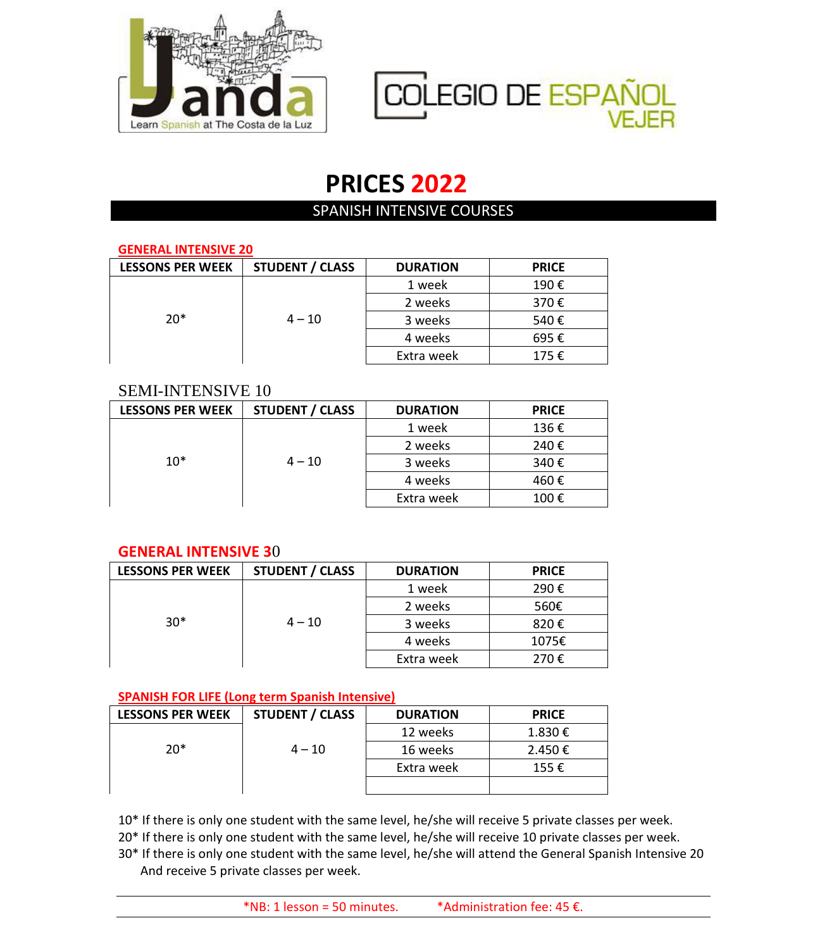



# **PRICES 2022**

# SPANISH INTENSIVE COURSES

#### **GENERAL INTENSIVE 20**

| <b>LESSONS PER WEEK</b> | <b>STUDENT / CLASS</b> | <b>DURATION</b> | <b>PRICE</b> |
|-------------------------|------------------------|-----------------|--------------|
|                         |                        | 1 week          | 190€         |
|                         |                        | 2 weeks         | 370€         |
| $20*$                   | $4 - 10$               | 3 weeks         | 540€         |
|                         |                        | 4 weeks         | 695€         |
|                         |                        | Extra week      | 175€         |

## SEMI-INTENSIVE 10

| <b>LESSONS PER WEEK</b> | <b>STUDENT / CLASS</b> | <b>DURATION</b> | <b>PRICE</b> |
|-------------------------|------------------------|-----------------|--------------|
|                         |                        | 1 week          | 136€         |
|                         |                        | 2 weeks         | 240€         |
| $10*$                   | $4 - 10$               | 3 weeks         | 340€         |
|                         |                        | 4 weeks         | 460€         |
|                         |                        | Extra week      | 100€         |

## **GENERAL INTENSIVE 3**0

| <b>LESSONS PER WEEK</b> | <b>STUDENT / CLASS</b> | <b>DURATION</b> | <b>PRICE</b> |
|-------------------------|------------------------|-----------------|--------------|
|                         |                        | 1 week          | 290€         |
|                         |                        | 2 weeks         | 560€         |
| $30*$                   | $4 - 10$               | 3 weeks         | 820€         |
|                         |                        | 4 weeks         | 1075€        |
|                         |                        | Extra week      | 270€         |

#### **SPANISH FOR LIFE (Long term Spanish Intensive)**

| <b>LESSONS PER WEEK</b> | <b>STUDENT / CLASS</b> | <b>DURATION</b> | <b>PRICE</b> |
|-------------------------|------------------------|-----------------|--------------|
|                         |                        | 12 weeks        | 1.830€       |
| $20*$                   | $4 - 10$               | 16 weeks        | 2.450€       |
|                         |                        | Extra week      | 155€         |
|                         |                        |                 |              |

10\* If there is only one student with the same level, he/she will receive 5 private classes per week.

20\* If there is only one student with the same level, he/she will receive 10 private classes per week.

30\* If there is only one student with the same level, he/she will attend the General Spanish Intensive 20 And receive 5 private classes per week.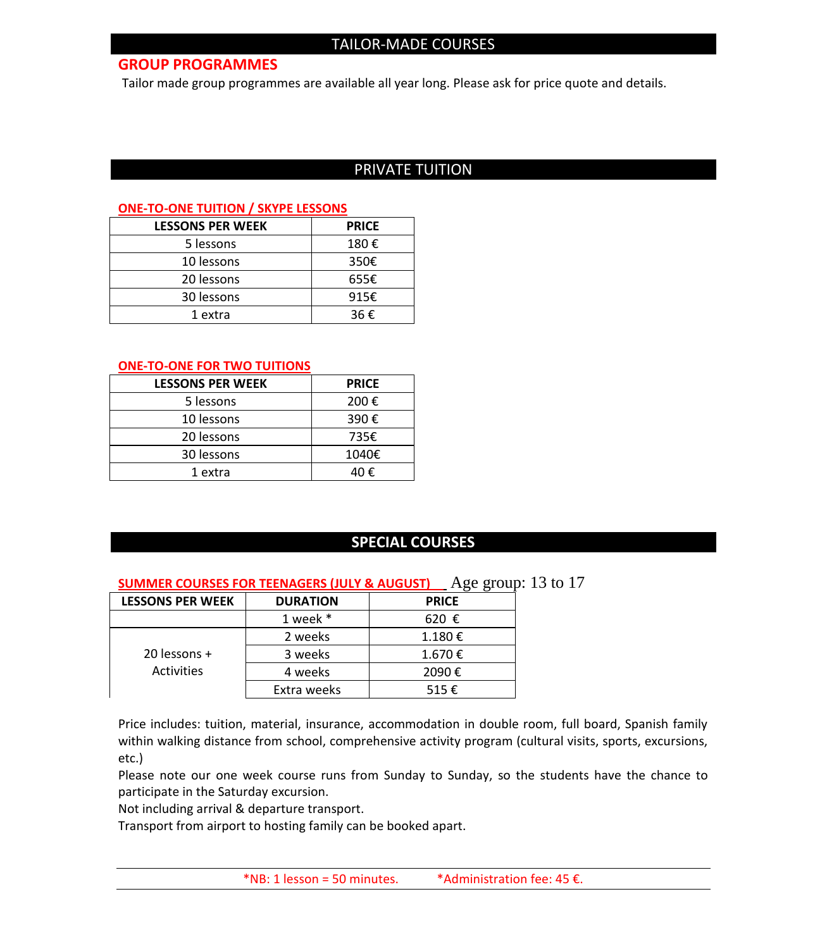#### **GROUP PROGRAMMES**

Tailor made group programmes are available all year long. Please ask for price quote and details.

## PRIVATE TUITION

#### **ONE-TO-ONE TUITION / SKYPE LESSONS**

| <b>LESSONS PER WEEK</b> | <b>PRICE</b> |
|-------------------------|--------------|
| 5 lessons               | 180€         |
| 10 lessons              | 350€         |
| 20 lessons              | 655€         |
| 30 lessons              | 915€         |
| 1 extra                 | 36€          |

#### **ONE-TO-ONE FOR TWO TUITIONS**

| <b>LESSONS PER WEEK</b> | <b>PRICE</b> |
|-------------------------|--------------|
| 5 lessons               | 200€         |
| 10 lessons              | 390€         |
| 20 lessons              | 735€         |
| 30 lessons              | 1040€        |
| 1 extra                 | 40 €         |

## **SPECIAL COURSES**

#### **SUMMER COURSES FOR TEENAGERS (JULY & AUGUST)** Age group: 13 to 17

| <b>LESSONS PER WEEK</b> | <b>DURATION</b> | <b>PRICE</b> |
|-------------------------|-----------------|--------------|
|                         | 1 week *        | 620 €        |
|                         | 2 weeks         | 1.180€       |
| 20 lessons +            | 3 weeks         | 1.670€       |
| Activities              | 4 weeks         | 2090€        |
|                         | Extra weeks     | 515€         |

Price includes: tuition, material, insurance, accommodation in double room, full board, Spanish family within walking distance from school, comprehensive activity program (cultural visits, sports, excursions, etc.)

Please note our one week course runs from Sunday to Sunday, so the students have the chance to participate in the Saturday excursion.

Not including arrival & departure transport.

Transport from airport to hosting family can be booked apart.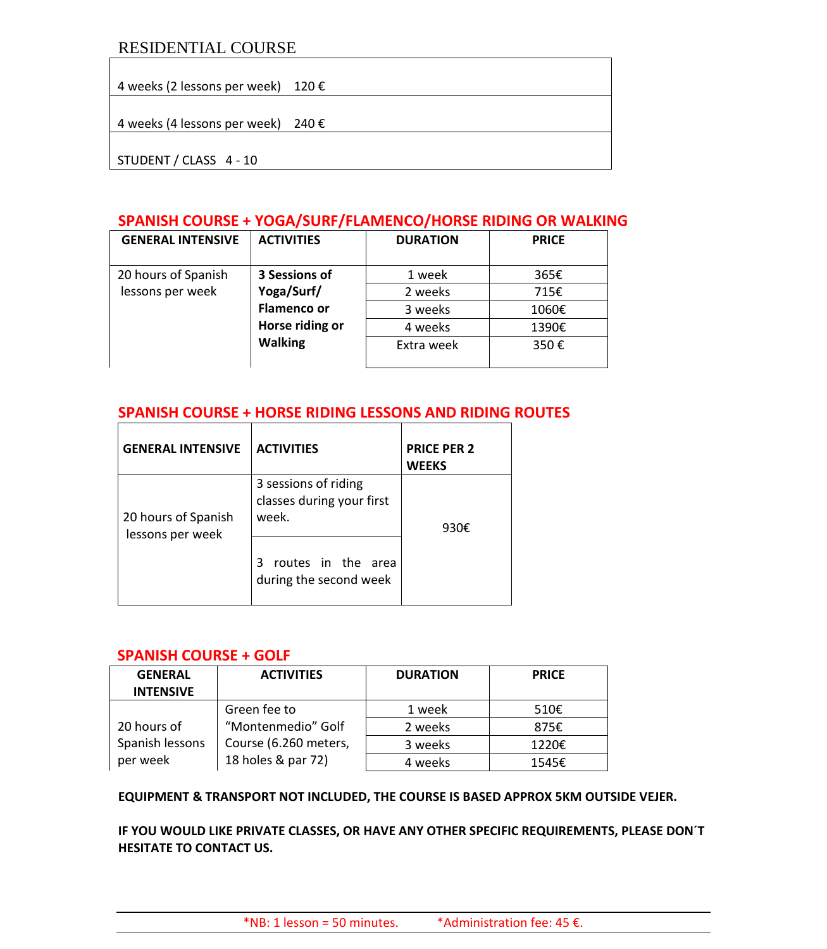## RESIDENTIAL COURSE

4 weeks (2 lessons per week) 120 €

4 weeks (4 lessons per week) 240 €

STUDENT / CLASS 4 - 10

## **SPANISH COURSE + YOGA/SURF/FLAMENCO/HORSE RIDING OR WALKING**

| <b>GENERAL INTENSIVE</b> | <b>ACTIVITIES</b>  | <b>DURATION</b> | <b>PRICE</b> |
|--------------------------|--------------------|-----------------|--------------|
|                          |                    |                 |              |
| 20 hours of Spanish      | 3 Sessions of      | 1 week          | 365€         |
| lessons per week         | Yoga/Surf/         | 2 weeks         | 715€         |
|                          | <b>Flamenco or</b> | 3 weeks         | 1060€        |
|                          | Horse riding or    | 4 weeks         | 1390€        |
|                          | <b>Walking</b>     | Extra week      | 350€         |
|                          |                    |                 |              |

## **SPANISH COURSE + HORSE RIDING LESSONS AND RIDING ROUTES**

| <b>GENERAL INTENSIVE</b>                | <b>ACTIVITIES</b>                                          | <b>PRICE PER 2</b><br><b>WEEKS</b> |
|-----------------------------------------|------------------------------------------------------------|------------------------------------|
| 20 hours of Spanish<br>lessons per week | 3 sessions of riding<br>classes during your first<br>week. | 930€                               |
|                                         | routes in the area<br>੨<br>during the second week          |                                    |

#### **SPANISH COURSE + GOLF**

| <b>GENERAL</b><br><b>INTENSIVE</b> | <b>ACTIVITIES</b>     | <b>DURATION</b> | <b>PRICE</b> |
|------------------------------------|-----------------------|-----------------|--------------|
|                                    | Green fee to          | 1 week          | 510€         |
| 20 hours of                        | "Montenmedio" Golf    | 2 weeks         | 875€         |
| Spanish lessons                    | Course (6.260 meters, | 3 weeks         | 1220€        |
| per week                           | 18 holes & par 72)    | 4 weeks         | 1545€        |

#### **EQUIPMENT & TRANSPORT NOT INCLUDED, THE COURSE IS BASED APPROX 5KM OUTSIDE VEJER.**

**IF YOU WOULD LIKE PRIVATE CLASSES, OR HAVE ANY OTHER SPECIFIC REQUIREMENTS, PLEASE DON´T HESITATE TO CONTACT US.**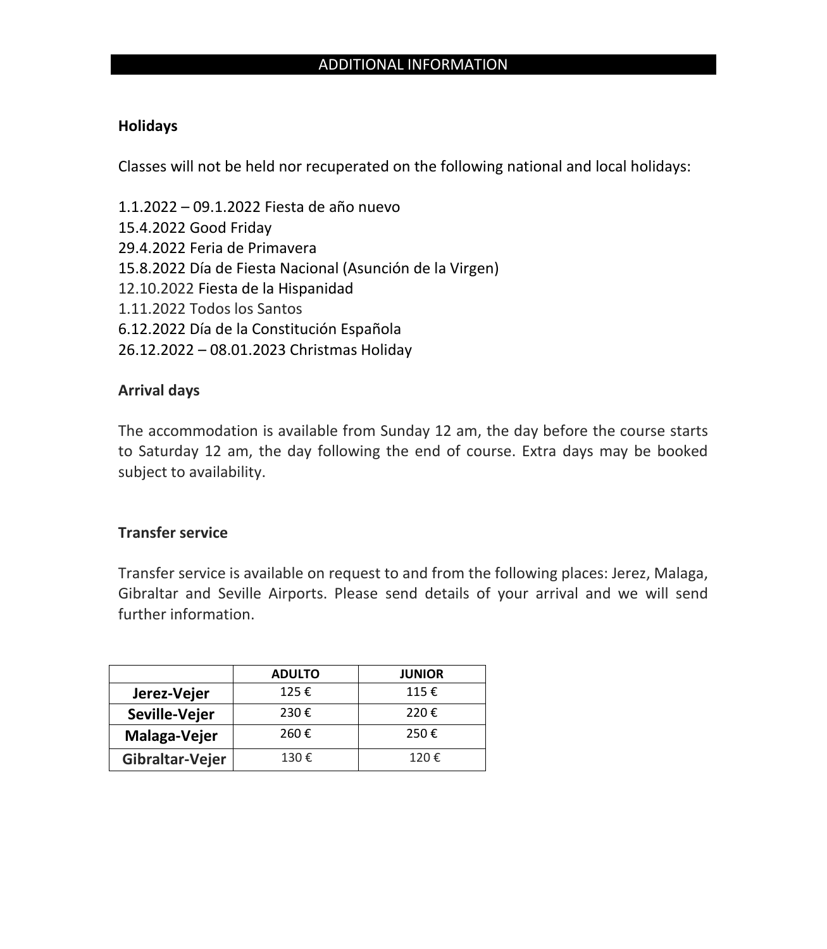# ADDITIONAL INFORMATION

## **Holidays**

Classes will not be held nor recuperated on the following national and local holidays:

1.1.2022 – 09.1.2022 Fiesta de año nuevo 15.4.2022 Good Friday 29.4.2022 Feria de Primavera 15.8.2022 Día de Fiesta Nacional (Asunción de la Virgen) 12.10.2022 Fiesta de la Hispanidad 1.11.2022 Todos los Santos 6.12.2022 Día de la Constitución Española 26.12.2022 – 08.01.2023 Christmas Holiday

## **Arrival days**

The accommodation is available from Sunday 12 am, the day before the course starts to Saturday 12 am, the day following the end of course. Extra days may be booked subject to availability.

## **Transfer service**

Transfer service is available on request to and from the following places: Jerez, Malaga, Gibraltar and Seville Airports. Please send details of your arrival and we will send further information.

|                 | <b>ADULTO</b> | <b>JUNIOR</b> |
|-----------------|---------------|---------------|
| Jerez-Vejer     | 125€          | 115€          |
| Seville-Vejer   | 230€          | 220€          |
| Malaga-Vejer    | 260€          | 250€          |
| Gibraltar-Vejer | 130€          | 120€          |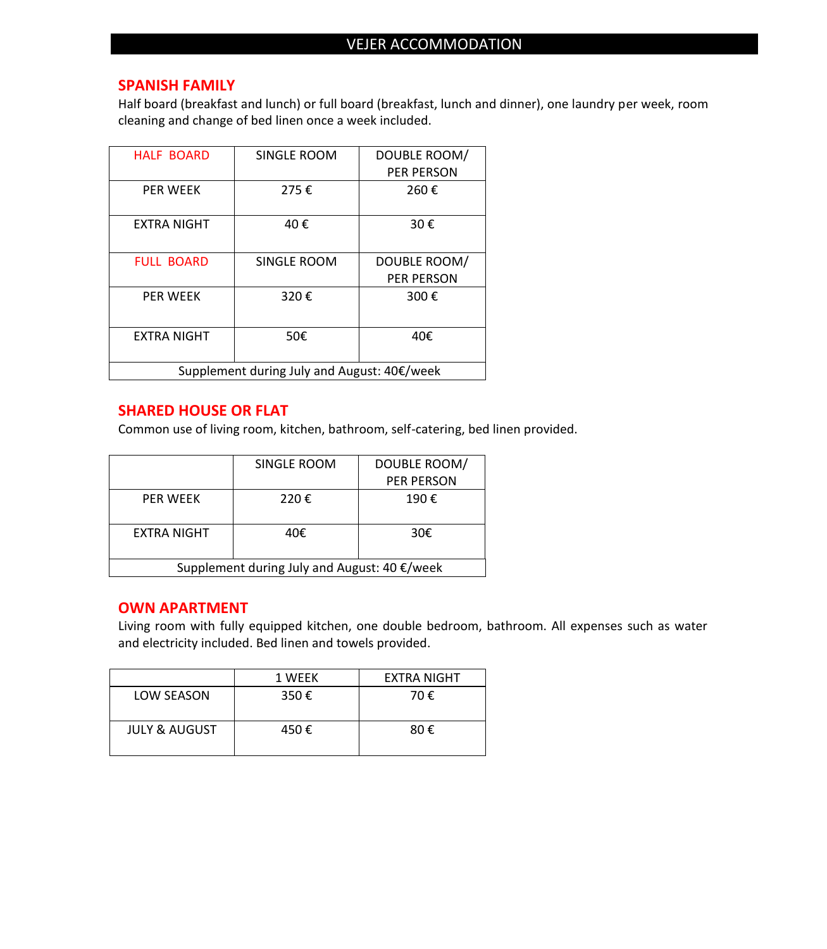### **SPANISH FAMILY**

Half board (breakfast and lunch) or full board (breakfast, lunch and dinner), one laundry per week, room cleaning and change of bed linen once a week included.

| <b>HALF BOARD</b>                           | SINGLE ROOM | DOUBLE ROOM/      |
|---------------------------------------------|-------------|-------------------|
|                                             |             | <b>PER PERSON</b> |
| <b>PER WEEK</b>                             | 275€        | 260€              |
| EXTRA NIGHT                                 | 40€         | 30€               |
| <b>FULL BOARD</b>                           | SINGLE ROOM | DOUBLE ROOM/      |
|                                             |             | <b>PER PERSON</b> |
| <b>PFR WFFK</b>                             | 320€        | 300€              |
| <b>EXTRA NIGHT</b>                          | 50€         | 40€               |
| Supplement during July and August: 40€/week |             |                   |

## **SHARED HOUSE OR FLAT**

Common use of living room, kitchen, bathroom, self-catering, bed linen provided.

|                                              | SINGLE ROOM | DOUBLE ROOM/      |
|----------------------------------------------|-------------|-------------------|
|                                              |             | <b>PER PERSON</b> |
| <b>PFR WFFK</b>                              | 220€        | 190€              |
| EXTRA NIGHT                                  | 40€         | 30€               |
| Supplement during July and August: 40 €/week |             |                   |

## **OWN APARTMENT**

Living room with fully equipped kitchen, one double bedroom, bathroom. All expenses such as water and electricity included. Bed linen and towels provided.

|                          | 1 WEEK | <b>EXTRA NIGHT</b> |
|--------------------------|--------|--------------------|
| LOW SEASON               | 350€   | 70€                |
| <b>JULY &amp; AUGUST</b> | 450€   | 80€                |